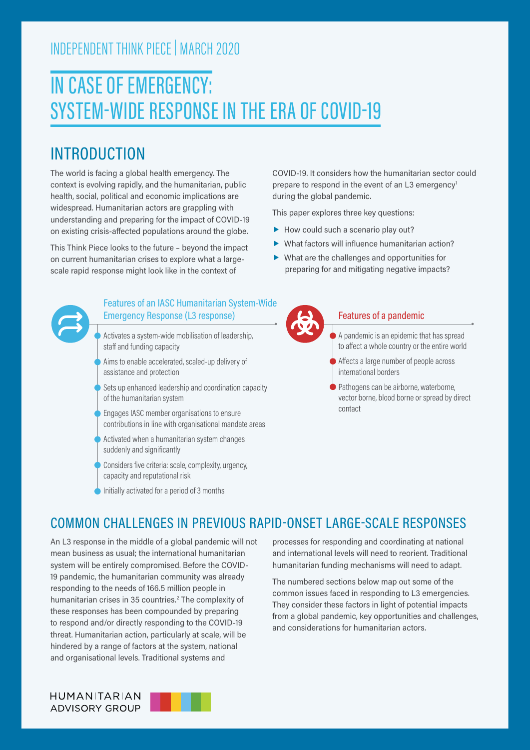## INDEPENDENT THINK PIECE | MARCH 2020

# IN CASE OF EMERGENCY: SYSTEM-WIDE RESPONSE IN THE ERA OF COVID-19

## INTRODUCTION

The world is facing a global health emergency. The context is evolving rapidly, and the humanitarian, public health, social, political and economic implications are widespread. Humanitarian actors are grappling with understanding and preparing for the impact of COVID-19 on existing crisis-affected populations around the globe.

This Think Piece looks to the future – beyond the impact on current humanitarian crises to explore what a largescale rapid response might look like in the context of

#### Features of an IASC Humanitarian System-Wide Emergency Response (L3 response)

- Activates a system-wide mobilisation of leadership, staff and funding capacity
- Aims to enable accelerated, scaled-up delivery of assistance and protection
- Sets up enhanced leadership and coordination capacity of the humanitarian system
- Engages IASC member organisations to ensure contributions in line with organisational mandate areas
- Activated when a humanitarian system changes suddenly and significantly
- Considers five criteria: scale, complexity, urgency, capacity and reputational risk
- Initially activated for a period of 3 months

COVID-19. It considers how the humanitarian sector could prepare to respond in the event of an L3 emergency<sup>1</sup> during the global pandemic.

This paper explores three key questions:

- $\blacktriangleright$  How could such a scenario play out?
- What factors will influence humanitarian action?
- What are the challenges and opportunities for preparing for and mitigating negative impacts?



#### Features of a pandemic

- A pandemic is an epidemic that has spread to affect a whole country or the entire world
- Affects a large number of people across international borders
- Pathogens can be airborne, waterborne, vector borne, blood borne or spread by direct contact

## COMMON CHALLENGES IN PREVIOUS RAPID-ONSET LARGE-SCALE RESPONSES

An L3 response in the middle of a global pandemic will not mean business as usual; the international humanitarian system will be entirely compromised. Before the COVID-19 pandemic, the humanitarian community was already responding to the needs of 166.5 million people in humanitarian crises in 35 countries.<sup>2</sup> The complexity of these responses has been compounded by preparing to respond and/or directly responding to the COVID-19 threat. Humanitarian action, particularly at scale, will be hindered by a range of factors at the system, national and organisational levels. Traditional systems and

processes for responding and coordinating at national and international levels will need to reorient. Traditional humanitarian funding mechanisms will need to adapt.

The numbered sections below map out some of the common issues faced in responding to L3 emergencies. They consider these factors in light of potential impacts from a global pandemic, key opportunities and challenges, and considerations for humanitarian actors.



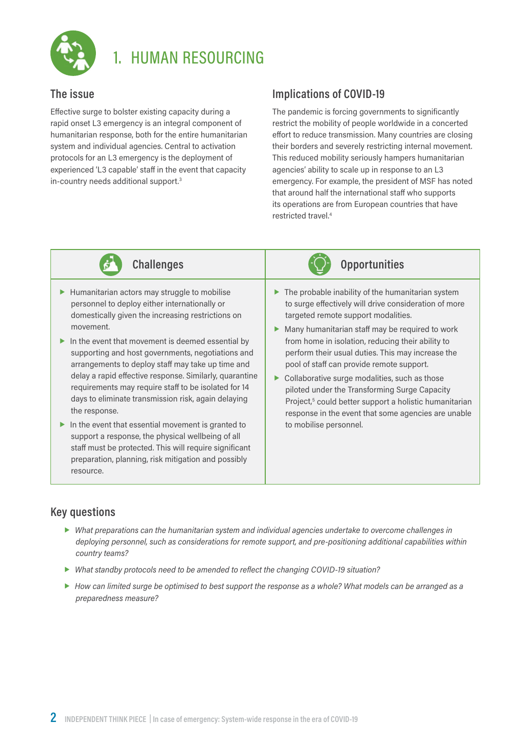

## 1. HUMAN RESOURCING

#### **The issue**

Effective surge to bolster existing capacity during a rapid onset L3 emergency is an integral component of humanitarian response, both for the entire humanitarian system and individual agencies. Central to activation protocols for an L3 emergency is the deployment of experienced 'L3 capable' staff in the event that capacity in-country needs additional support.3

### **Implications of COVID-19**

The pandemic is forcing governments to significantly restrict the mobility of people worldwide in a concerted effort to reduce transmission. Many countries are closing their borders and severely restricting internal movement. This reduced mobility seriously hampers humanitarian agencies' ability to scale up in response to an L3 emergency. For example, the president of MSF has noted that around half the international staff who supports its operations are from European countries that have restricted travel.4



- $\blacktriangleright$  Humanitarian actors may struggle to mobilise personnel to deploy either internationally or domestically given the increasing restrictions on movement.
- In the event that movement is deemed essential by supporting and host governments, negotiations and arrangements to deploy staff may take up time and delay a rapid effective response. Similarly, quarantine requirements may require staff to be isolated for 14 days to eliminate transmission risk, again delaying the response.
- $\blacktriangleright$  In the event that essential movement is granted to support a response, the physical wellbeing of all staff must be protected. This will require significant preparation, planning, risk mitigation and possibly resource.



- $\blacktriangleright$  The probable inability of the humanitarian system to surge effectively will drive consideration of more targeted remote support modalities.
- $\blacktriangleright$  Many humanitarian staff may be required to work from home in isolation, reducing their ability to perform their usual duties. This may increase the pool of staff can provide remote support.
- $\blacktriangleright$  Collaborative surge modalities, such as those piloted under the Transforming Surge Capacity Project,<sup>5</sup> could better support a holistic humanitarian response in the event that some agencies are unable to mobilise personnel.

- *What preparations can the humanitarian system and individual agencies undertake to overcome challenges in deploying personnel, such as considerations for remote support, and pre-positioning additional capabilities within country teams?*
- *What standby protocols need to be amended to reflect the changing COVID-19 situation?*
- *How can limited surge be optimised to best support the response as a whole? What models can be arranged as a preparedness measure?*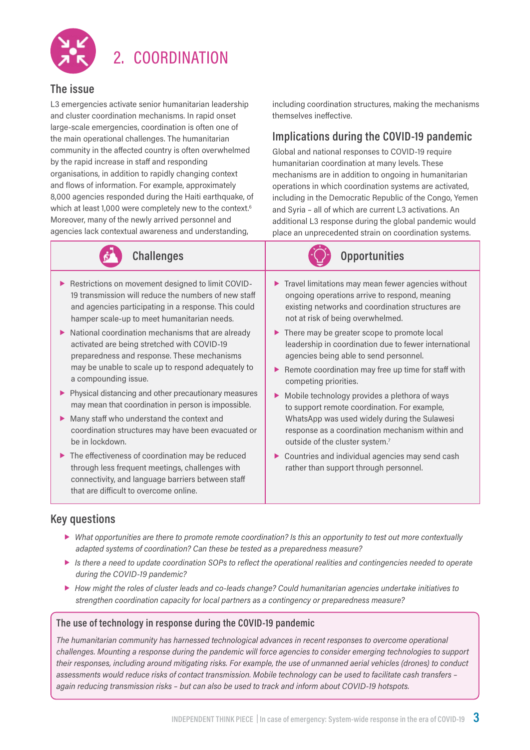

## 2. COORDINATION

#### **The issue**

L3 emergencies activate senior humanitarian leadership and cluster coordination mechanisms. In rapid onset large-scale emergencies, coordination is often one of the main operational challenges. The humanitarian community in the affected country is often overwhelmed by the rapid increase in staff and responding organisations, in addition to rapidly changing context and flows of information. For example, approximately 8,000 agencies responded during the Haiti earthquake, of which at least 1,000 were completely new to the context.<sup>6</sup> Moreover, many of the newly arrived personnel and agencies lack contextual awareness and understanding,



- Restrictions on movement designed to limit COVID-19 transmission will reduce the numbers of new staff and agencies participating in a response. This could hamper scale-up to meet humanitarian needs.
- $\triangleright$  National coordination mechanisms that are already activated are being stretched with COVID-19 preparedness and response. These mechanisms may be unable to scale up to respond adequately to a compounding issue.
- **Physical distancing and other precautionary measures** may mean that coordination in person is impossible.
- Many staff who understand the context and coordination structures may have been evacuated or be in lockdown.
- ▶ The effectiveness of coordination may be reduced through less frequent meetings, challenges with connectivity, and language barriers between staff that are difficult to overcome online.

including coordination structures, making the mechanisms themselves ineffective.

### **Implications during the COVID-19 pandemic**

Global and national responses to COVID-19 require humanitarian coordination at many levels. These mechanisms are in addition to ongoing in humanitarian operations in which coordination systems are activated, including in the Democratic Republic of the Congo, Yemen and Syria – all of which are current L3 activations. An additional L3 response during the global pandemic would place an unprecedented strain on coordination systems.



- $\blacktriangleright$  Travel limitations may mean fewer agencies without ongoing operations arrive to respond, meaning existing networks and coordination structures are not at risk of being overwhelmed.
- ▶ There may be greater scope to promote local leadership in coordination due to fewer international agencies being able to send personnel.
- Remote coordination may free up time for staff with competing priorities.
- Mobile technology provides a plethora of ways to support remote coordination. For example, WhatsApp was used widely during the Sulawesi response as a coordination mechanism within and outside of the cluster system.7
- ▶ Countries and individual agencies may send cash rather than support through personnel.

#### **Key questions**

- *What opportunities are there to promote remote coordination? Is this an opportunity to test out more contextually adapted systems of coordination? Can these be tested as a preparedness measure?*
- *Is there a need to update coordination SOPs to reflect the operational realities and contingencies needed to operate during the COVID-19 pandemic?*
- *How might the roles of cluster leads and co-leads change? Could humanitarian agencies undertake initiatives to strengthen coordination capacity for local partners as a contingency or preparedness measure?*

#### **The use of technology in response during the COVID-19 pandemic**

*The humanitarian community has harnessed technological advances in recent responses to overcome operational challenges. Mounting a response during the pandemic will force agencies to consider emerging technologies to support their responses, including around mitigating risks. For example, the use of unmanned aerial vehicles (drones) to conduct assessments would reduce risks of contact transmission. Mobile technology can be used to facilitate cash transfers – again reducing transmission risks – but can also be used to track and inform about COVID-19 hotspots.*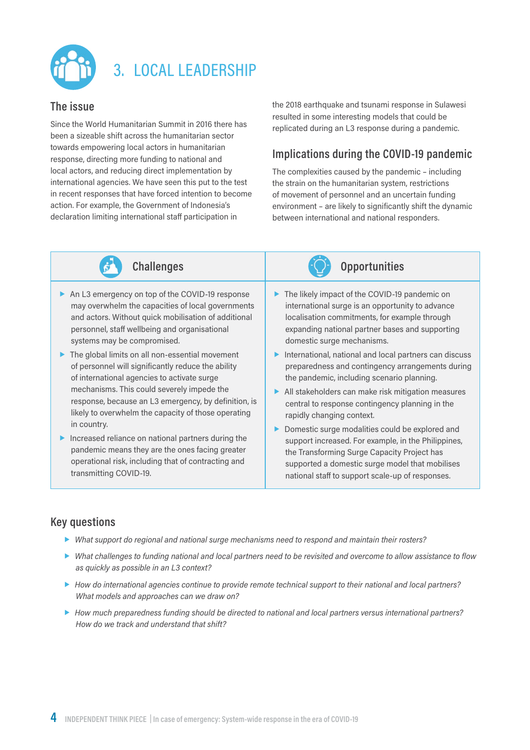

## 3. LOCAL LEADERSHIP

#### **The issue**

Since the World Humanitarian Summit in 2016 there has been a sizeable shift across the humanitarian sector towards empowering local actors in humanitarian response, directing more funding to national and local actors, and reducing direct implementation by international agencies. We have seen this put to the test in recent responses that have forced intention to become action. For example, the Government of Indonesia's declaration limiting international staff participation in

the 2018 earthquake and tsunami response in Sulawesi resulted in some interesting models that could be replicated during an L3 response during a pandemic.

#### **Implications during the COVID-19 pandemic**

The complexities caused by the pandemic – including the strain on the humanitarian system, restrictions of movement of personnel and an uncertain funding environment – are likely to significantly shift the dynamic between international and national responders.



- An L3 emergency on top of the COVID-19 response may overwhelm the capacities of local governments and actors. Without quick mobilisation of additional personnel, staff wellbeing and organisational systems may be compromised.
- $\blacktriangleright$  The global limits on all non-essential movement of personnel will significantly reduce the ability of international agencies to activate surge mechanisms. This could severely impede the response, because an L3 emergency, by definition, is likely to overwhelm the capacity of those operating in country.
- **Increased reliance on national partners during the** pandemic means they are the ones facing greater operational risk, including that of contracting and transmitting COVID-19.

**Challenges Challenges Opportunities** 

- The likely impact of the COVID-19 pandemic on international surge is an opportunity to advance localisation commitments, for example through expanding national partner bases and supporting domestic surge mechanisms.
- $\blacktriangleright$  International, national and local partners can discuss preparedness and contingency arrangements during the pandemic, including scenario planning.
- All stakeholders can make risk mitigation measures central to response contingency planning in the rapidly changing context.
- Domestic surge modalities could be explored and support increased. For example, in the Philippines, the Transforming Surge Capacity Project has supported a domestic surge model that mobilises national staff to support scale-up of responses.

- *What support do regional and national surge mechanisms need to respond and maintain their rosters?*
- *What challenges to funding national and local partners need to be revisited and overcome to allow assistance to flow as quickly as possible in an L3 context?*
- *How do international agencies continue to provide remote technical support to their national and local partners? What models and approaches can we draw on?*
- *How much preparedness funding should be directed to national and local partners versus international partners? How do we track and understand that shift?*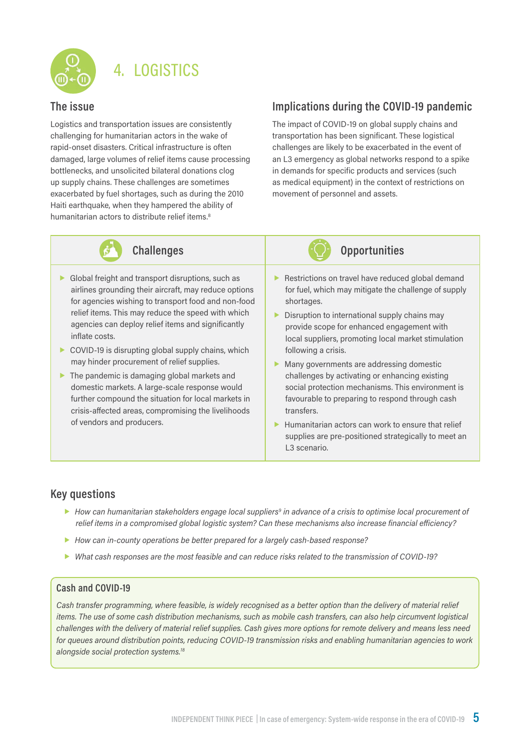

## 4. LOGISTICS

#### **The issue**

Logistics and transportation issues are consistently challenging for humanitarian actors in the wake of rapid-onset disasters. Critical infrastructure is often damaged, large volumes of relief items cause processing bottlenecks, and unsolicited bilateral donations clog up supply chains. These challenges are sometimes exacerbated by fuel shortages, such as during the 2010 Haiti earthquake, when they hampered the ability of humanitarian actors to distribute relief items.<sup>8</sup>

#### **Implications during the COVID-19 pandemic**

The impact of COVID-19 on global supply chains and transportation has been significant. These logistical challenges are likely to be exacerbated in the event of an L3 emergency as global networks respond to a spike in demands for specific products and services (such as medical equipment) in the context of restrictions on movement of personnel and assets.



**Challenges Challenges Opportunities** 

- Global freight and transport disruptions, such as airlines grounding their aircraft, may reduce options for agencies wishing to transport food and non-food relief items. This may reduce the speed with which agencies can deploy relief items and significantly inflate costs.
- $\triangleright$  COVID-19 is disrupting global supply chains, which may hinder procurement of relief supplies.
- $\blacktriangleright$  The pandemic is damaging global markets and domestic markets. A large-scale response would further compound the situation for local markets in crisis-affected areas, compromising the livelihoods of vendors and producers.
- Restrictions on travel have reduced global demand
- shortages. Disruption to international supply chains may provide scope for enhanced engagement with local suppliers, promoting local market stimulation

following a crisis.

for fuel, which may mitigate the challenge of supply

- Many governments are addressing domestic challenges by activating or enhancing existing social protection mechanisms. This environment is favourable to preparing to respond through cash transfers.
- $\blacktriangleright$  Humanitarian actors can work to ensure that relief supplies are pre-positioned strategically to meet an L3 scenario.

#### **Key questions**

- *How can humanitarian stakeholders engage local suppliers9 in advance of a crisis to optimise local procurement of relief items in a compromised global logistic system? Can these mechanisms also increase financial efficiency?*
- *How can in-county operations be better prepared for a largely cash-based response?*
- *What cash responses are the most feasible and can reduce risks related to the transmission of COVID-19?*

#### **Cash and COVID-19**

*Cash transfer programming, where feasible, is widely recognised as a better option than the delivery of material relief items. The use of some cash distribution mechanisms, such as mobile cash transfers, can also help circumvent logistical challenges with the delivery of material relief supplies. Cash gives more options for remote delivery and means less need for queues around distribution points, reducing COVID-19 transmission risks and enabling humanitarian agencies to work alongside social protection systems.18*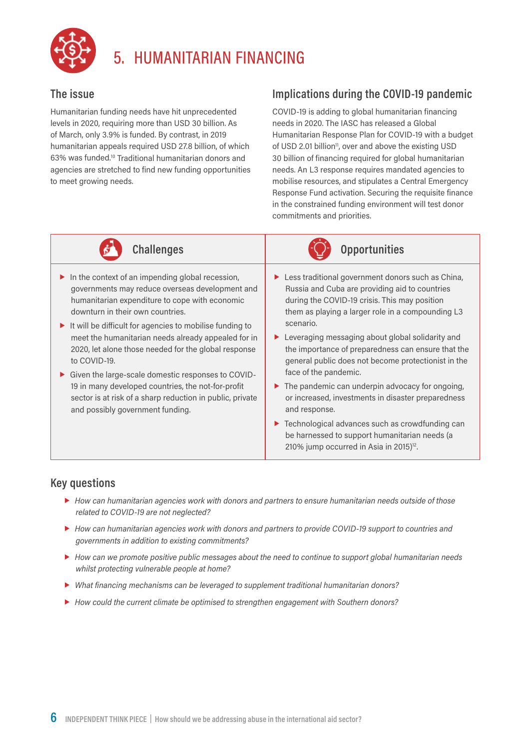

## 5. HUMANITARIAN FINANCING

#### **The issue**

Humanitarian funding needs have hit unprecedented levels in 2020, requiring more than USD 30 billion. As of March, only 3.9% is funded. By contrast, in 2019 humanitarian appeals required USD 27.8 billion, of which 63% was funded.10 Traditional humanitarian donors and agencies are stretched to find new funding opportunities to meet growing needs.

### **Implications during the COVID-19 pandemic**

COVID-19 is adding to global humanitarian financing needs in 2020. The IASC has released a Global Humanitarian Response Plan for COVID-19 with a budget of USD 2.01 billion<sup>11</sup>, over and above the existing USD 30 billion of financing required for global humanitarian needs. An L3 response requires mandated agencies to mobilise resources, and stipulates a Central Emergency Response Fund activation. Securing the requisite finance in the constrained funding environment will test donor commitments and priorities.



**Challenges Opportunities**

- $\blacktriangleright$  In the context of an impending global recession, governments may reduce overseas development and humanitarian expenditure to cope with economic downturn in their own countries.
- $\blacktriangleright$  It will be difficult for agencies to mobilise funding to meet the humanitarian needs already appealed for in 2020, let alone those needed for the global response to COVID-19.
- Given the large-scale domestic responses to COVID-19 in many developed countries, the not-for-profit sector is at risk of a sharp reduction in public, private and possibly government funding.
- $\blacktriangleright$  Less traditional government donors such as China, Russia and Cuba are providing aid to countries during the COVID-19 crisis. This may position them as playing a larger role in a compounding L3 scenario.
- ▶ Leveraging messaging about global solidarity and the importance of preparedness can ensure that the general public does not become protectionist in the face of the pandemic.
- $\blacktriangleright$  The pandemic can underpin advocacy for ongoing, or increased, investments in disaster preparedness and response.
- ▶ Technological advances such as crowdfunding can be harnessed to support humanitarian needs (a 210% jump occurred in Asia in 2015) $12$ .

- *How can humanitarian agencies work with donors and partners to ensure humanitarian needs outside of those related to COVID-19 are not neglected?*
- *How can humanitarian agencies work with donors and partners to provide COVID-19 support to countries and governments in addition to existing commitments?*
- *How can we promote positive public messages about the need to continue to support global humanitarian needs whilst protecting vulnerable people at home?*
- *What financing mechanisms can be leveraged to supplement traditional humanitarian donors?*
- *How could the current climate be optimised to strengthen engagement with Southern donors?*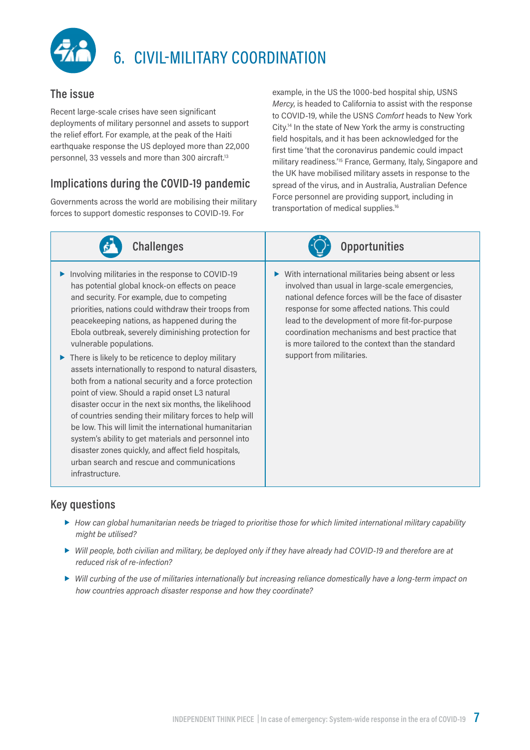

## 6. CIVIL-MILITARY COORDINATION

#### **The issue**

Recent large-scale crises have seen significant deployments of military personnel and assets to support the relief effort. For example, at the peak of the Haiti earthquake response the US deployed more than 22,000 personnel, 33 vessels and more than 300 aircraft.13

#### **Implications during the COVID-19 pandemic**

Governments across the world are mobilising their military forces to support domestic responses to COVID-19. For

example, in the US the 1000-bed hospital ship, USNS *Mercy*, is headed to California to assist with the response to COVID-19, while the USNS *Comfort* heads to New York City.14 In the state of New York the army is constructing field hospitals, and it has been acknowledged for the first time 'that the coronavirus pandemic could impact military readiness.'15 France, Germany, Italy, Singapore and the UK have mobilised military assets in response to the spread of the virus, and in Australia, Australian Defence Force personnel are providing support, including in transportation of medical supplies.<sup>16</sup>

| <b>Challenges</b>                                                                                                                                                                                                                                                                                                                                                                                                                                                                                                                                                                                                                                                                                                                                                                                                                                                                                                                    | <b>Opportunities</b>                                                                                                                                                                                                                                                                                                                                                                                       |
|--------------------------------------------------------------------------------------------------------------------------------------------------------------------------------------------------------------------------------------------------------------------------------------------------------------------------------------------------------------------------------------------------------------------------------------------------------------------------------------------------------------------------------------------------------------------------------------------------------------------------------------------------------------------------------------------------------------------------------------------------------------------------------------------------------------------------------------------------------------------------------------------------------------------------------------|------------------------------------------------------------------------------------------------------------------------------------------------------------------------------------------------------------------------------------------------------------------------------------------------------------------------------------------------------------------------------------------------------------|
| Involving militaries in the response to COVID-19<br>has potential global knock-on effects on peace<br>and security. For example, due to competing<br>priorities, nations could withdraw their troops from<br>peacekeeping nations, as happened during the<br>Ebola outbreak, severely diminishing protection for<br>vulnerable populations.<br>There is likely to be reticence to deploy military<br>assets internationally to respond to natural disasters,<br>both from a national security and a force protection<br>point of view. Should a rapid onset L3 natural<br>disaster occur in the next six months, the likelihood<br>of countries sending their military forces to help will<br>be low. This will limit the international humanitarian<br>system's ability to get materials and personnel into<br>disaster zones quickly, and affect field hospitals,<br>urban search and rescue and communications<br>infrastructure. | With international militaries being absent or less<br>▶<br>involved than usual in large-scale emergencies,<br>national defence forces will be the face of disaster<br>response for some affected nations. This could<br>lead to the development of more fit-for-purpose<br>coordination mechanisms and best practice that<br>is more tailored to the context than the standard<br>support from militaries. |

- *How can global humanitarian needs be triaged to prioritise those for which limited international military capability might be utilised?*
- *Will people, both civilian and military, be deployed only if they have already had COVID-19 and therefore are at reduced risk of re-infection?*
- *Will curbing of the use of militaries internationally but increasing reliance domestically have a long-term impact on how countries approach disaster response and how they coordinate?*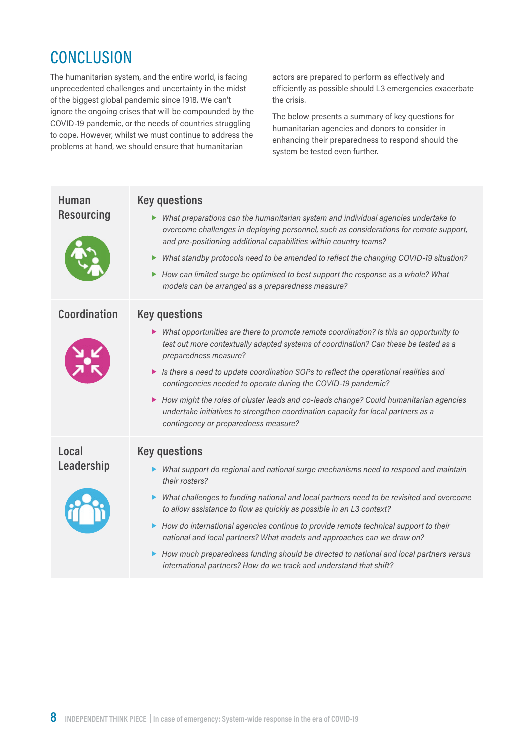## **CONCLUSION**

The humanitarian system, and the entire world, is facing unprecedented challenges and uncertainty in the midst of the biggest global pandemic since 1918. We can't ignore the ongoing crises that will be compounded by the COVID-19 pandemic, or the needs of countries struggling to cope. However, whilst we must continue to address the problems at hand, we should ensure that humanitarian

actors are prepared to perform as effectively and efficiently as possible should L3 emergencies exacerbate the crisis.

The below presents a summary of key questions for humanitarian agencies and donors to consider in enhancing their preparedness to respond should the system be tested even further.

| <b>Human</b><br><b>Resourcing</b> | <b>Key questions</b><br>Mhat preparations can the humanitarian system and individual agencies undertake to<br>overcome challenges in deploying personnel, such as considerations for remote support,<br>and pre-positioning additional capabilities within country teams?<br>What standby protocols need to be amended to reflect the changing COVID-19 situation?<br>How can limited surge be optimised to best support the response as a whole? What<br>▶<br>models can be arranged as a preparedness measure?                                                                                                                        |
|-----------------------------------|-----------------------------------------------------------------------------------------------------------------------------------------------------------------------------------------------------------------------------------------------------------------------------------------------------------------------------------------------------------------------------------------------------------------------------------------------------------------------------------------------------------------------------------------------------------------------------------------------------------------------------------------|
| Coordination                      | <b>Key questions</b><br>• What opportunities are there to promote remote coordination? Is this an opportunity to<br>test out more contextually adapted systems of coordination? Can these be tested as a<br>preparedness measure?<br>In the a need to update coordination SOPs to reflect the operational realities and<br>contingencies needed to operate during the COVID-19 pandemic?<br>How might the roles of cluster leads and co-leads change? Could humanitarian agencies<br>▶<br>undertake initiatives to strengthen coordination capacity for local partners as a<br>contingency or preparedness measure?                     |
| Local<br>Leadership               | <b>Key questions</b><br>Mhat support do regional and national surge mechanisms need to respond and maintain<br>their rosters?<br>What challenges to funding national and local partners need to be revisited and overcome<br>to allow assistance to flow as quickly as possible in an L3 context?<br>• How do international agencies continue to provide remote technical support to their<br>national and local partners? What models and approaches can we draw on?<br>• How much preparedness funding should be directed to national and local partners versus<br>international partners? How do we track and understand that shift? |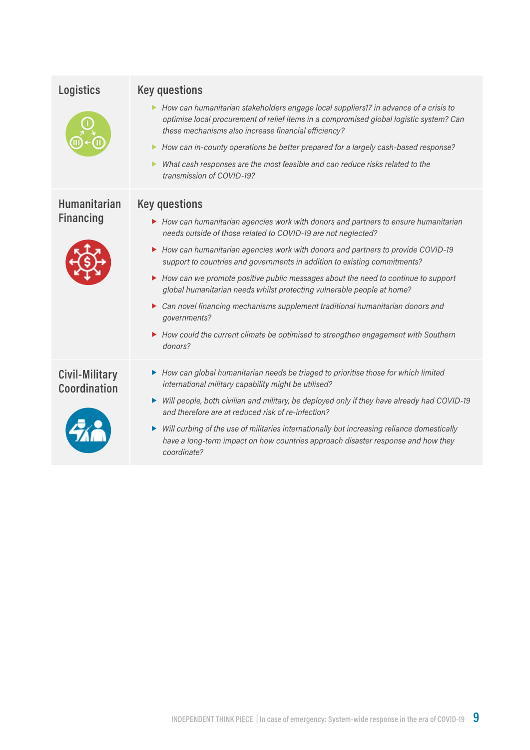| <b>Logistics</b>                            | <b>Key questions</b>                                                                                                                                                                                                                                                                                                                                                                                                                                    |
|---------------------------------------------|---------------------------------------------------------------------------------------------------------------------------------------------------------------------------------------------------------------------------------------------------------------------------------------------------------------------------------------------------------------------------------------------------------------------------------------------------------|
|                                             | ▶ How can humanitarian stakeholders engage local suppliers17 in advance of a crisis to<br>optimise local procurement of relief items in a compromised global logistic system? Can<br>these mechanisms also increase financial efficiency?<br>How can in-county operations be better prepared for a largely cash-based response?<br>▶<br>What cash responses are the most feasible and can reduce risks related to the<br>▶<br>transmission of COVID-19? |
| <b>Humanitarian</b><br><b>Key questions</b> |                                                                                                                                                                                                                                                                                                                                                                                                                                                         |
| <b>Financing</b>                            | ▶ How can humanitarian agencies work with donors and partners to ensure humanitarian<br>needs outside of those related to COVID-19 are not neglected?                                                                                                                                                                                                                                                                                                   |
|                                             | How can humanitarian agencies work with donors and partners to provide COVID-19<br>support to countries and governments in addition to existing commitments?                                                                                                                                                                                                                                                                                            |
|                                             | ▶ How can we promote positive public messages about the need to continue to support<br>global humanitarian needs whilst protecting vulnerable people at home?                                                                                                                                                                                                                                                                                           |
|                                             | Can novel financing mechanisms supplement traditional humanitarian donors and<br>▶<br>governments?                                                                                                                                                                                                                                                                                                                                                      |
|                                             | ▶ How could the current climate be optimised to strengthen engagement with Southern<br>donors?                                                                                                                                                                                                                                                                                                                                                          |
| <b>Civil-Military</b><br>Coordination       | How can global humanitarian needs be triaged to prioritise those for which limited<br>international military capability might be utilised?                                                                                                                                                                                                                                                                                                              |
|                                             | ► Will people, both civilian and military, be deployed only if they have already had COVID-19<br>and therefore are at reduced risk of re-infection?                                                                                                                                                                                                                                                                                                     |
|                                             | Will curbing of the use of militaries internationally but increasing reliance domestically<br>▶<br>have a long-term impact on how countries approach disaster response and how they<br>coordinate?                                                                                                                                                                                                                                                      |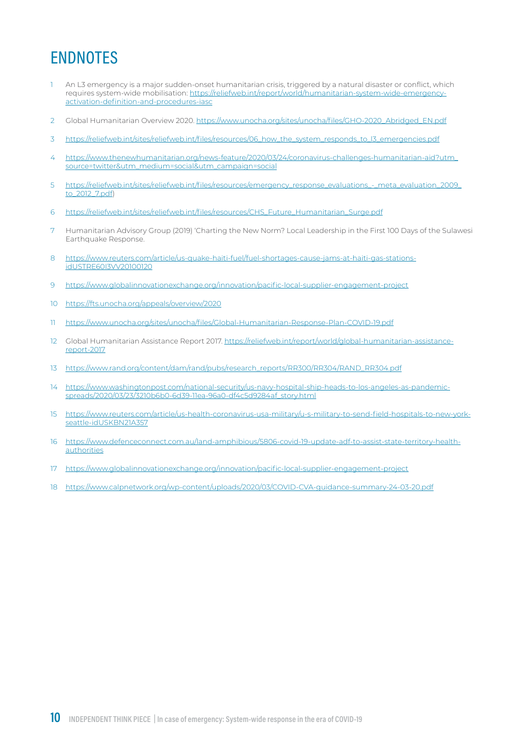## ENDNOTES

- 1 An L3 emergency is a major sudden-onset humanitarian crisis, triggered by a natural disaster or conflict, which requires system-wide mobilisation: [https://reliefweb.int/report/world/humanitarian-system-wide-emergency](https://reliefweb.int/report/world/humanitarian-system-wide-emergency-activation-definition-and-procedures-iasc)[activation-definition-and-procedures-iasc](https://reliefweb.int/report/world/humanitarian-system-wide-emergency-activation-definition-and-procedures-iasc)
- 2 Global Humanitarian Overview 2020. [https://www.unocha.org/sites/unocha/files/GHO-2020\\_Abridged\\_EN.pdf](https://www.unocha.org/sites/unocha/files/GHO-2020_Abridged_EN.pdf)
- 3 [https://reliefweb.int/sites/reliefweb.int/files/resources/06\\_how\\_the\\_system\\_responds\\_to\\_l3\\_emergencies.pdf](https://reliefweb.int/sites/reliefweb.int/files/resources/06_how_the_system_responds_to_l3_emergencies.pdf)
- 4 [https://www.thenewhumanitarian.org/news-feature/2020/03/24/coronavirus-challenges-humanitarian-aid?utm\\_](https://www.thenewhumanitarian.org/news-feature/2020/03/24/coronavirus-challenges-humanitarian-aid?utm_source=twitter&utm_medium=social&utm_campaign=social) [source=twitter&utm\\_medium=social&utm\\_campaign=social](https://www.thenewhumanitarian.org/news-feature/2020/03/24/coronavirus-challenges-humanitarian-aid?utm_source=twitter&utm_medium=social&utm_campaign=social)
- 5 [https://reliefweb.int/sites/reliefweb.int/files/resources/emergency\\_response\\_evaluations\\_-\\_meta\\_evaluation\\_2009\\_](https://reliefweb.int/sites/reliefweb.int/files/resources/emergency_response_evaluations_-_meta_evaluation_2009_to_2012_7.pdf) [to\\_2012\\_7.pdf](https://reliefweb.int/sites/reliefweb.int/files/resources/emergency_response_evaluations_-_meta_evaluation_2009_to_2012_7.pdf))
- 6 [https://reliefweb.int/sites/reliefweb.int/files/resources/CHS\\_Future\\_Humanitarian\\_Surge.pdf](https://reliefweb.int/sites/reliefweb.int/files/resources/CHS_Future_Humanitarian_Surge.pdf)
- 7 Humanitarian Advisory Group (2019) 'Charting the New Norm? Local Leadership in the First 100 Days of the Sulawesi Earthquake Response.
- 8 [https://www.reuters.com/article/us-quake-haiti-fuel/fuel-shortages-cause-jams-at-haiti-gas-stations](https://www.reuters.com/article/us-quake-haiti-fuel/fuel-shortages-cause-jams-at-haiti-gas-stations-idUSTRE60I3VV20100120)[idUSTRE60I3VV20100120](https://www.reuters.com/article/us-quake-haiti-fuel/fuel-shortages-cause-jams-at-haiti-gas-stations-idUSTRE60I3VV20100120)
- 9 <https://www.globalinnovationexchange.org/innovation/pacific-local-supplier-engagement-project>
- 10 <https://fts.unocha.org/appeals/overview/2020>
- 11 <https://www.unocha.org/sites/unocha/files/Global-Humanitarian-Response-Plan-COVID-19.pdf>
- 12 Global Humanitarian Assistance Report 2017. [https://reliefweb.int/report/world/global-humanitarian-assistance](https://reliefweb.int/report/world/global-humanitarian-assistance-report-2017)[report-2017](https://reliefweb.int/report/world/global-humanitarian-assistance-report-2017)
- 13 [https://www.rand.org/content/dam/rand/pubs/research\\_reports/RR300/RR304/RAND\\_RR304.pdf](https://www.rand.org/content/dam/rand/pubs/research_reports/RR300/RR304/RAND_RR304.pdf)
- 14 [https://www.washingtonpost.com/national-security/us-navy-hospital-ship-heads-to-los-angeles-as-pandemic](https://www.washingtonpost.com/national-security/us-navy-hospital-ship-heads-to-los-angeles-as-pandemic-spreads/2020/03/23/3210b6b0-6d39-11ea-96a0-df4c5d9284af_story.html)[spreads/2020/03/23/3210b6b0-6d39-11ea-96a0-df4c5d9284af\\_story.html](https://www.washingtonpost.com/national-security/us-navy-hospital-ship-heads-to-los-angeles-as-pandemic-spreads/2020/03/23/3210b6b0-6d39-11ea-96a0-df4c5d9284af_story.html)
- 15 [https://www.reuters.com/article/us-health-coronavirus-usa-military/u-s-military-to-send-field-hospitals-to-new-york](https://www.reuters.com/article/us-health-coronavirus-usa-military/u-s-military-to-send-field-hospitals-to-new-york-seattle-idUSKBN21A357)[seattle-idUSKBN21A357](https://www.reuters.com/article/us-health-coronavirus-usa-military/u-s-military-to-send-field-hospitals-to-new-york-seattle-idUSKBN21A357)
- 16 [https://www.defenceconnect.com.au/land-amphibious/5806-covid-19-update-adf-to-assist-state-territory-health](https://www.defenceconnect.com.au/land-amphibious/5806-covid-19-update-adf-to-assist-state-territory-health-authorities)[authorities](https://www.defenceconnect.com.au/land-amphibious/5806-covid-19-update-adf-to-assist-state-territory-health-authorities)
- 17 <https://www.globalinnovationexchange.org/innovation/pacific-local-supplier-engagement-project>
- 18 <https://www.calpnetwork.org/wp-content/uploads/2020/03/COVID-CVA-guidance-summary-24-03-20.pdf>